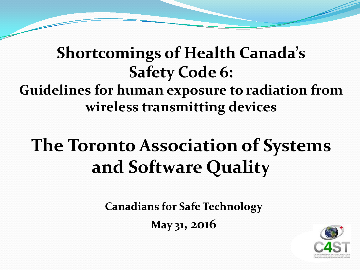### **Shortcomings of Health Canada's Safety Code 6: Guidelines for human exposure to radiation from wireless transmitting devices**

# **The Toronto Association of Systems and Software Quality**

**Canadians for Safe Technology**

**May 31, 2016**

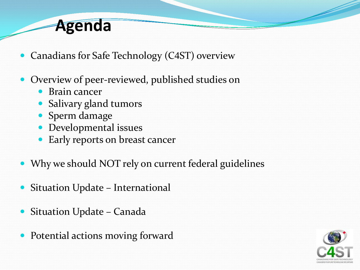### **Agenda**

- Canadians for Safe Technology (C4ST) overview
- Overview of peer-reviewed, published studies on
	- Brain cancer
	- Salivary gland tumors
	- Sperm damage
	- Developmental issues
	- Early reports on breast cancer
- Why we should NOT rely on current federal guidelines
- Situation Update International
- Situation Update Canada
- Potential actions moving forward

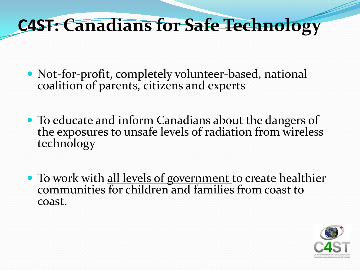# **C4ST: Canadians for Safe Technology**

- Not-for-profit, completely volunteer-based, national coalition of parents, citizens and experts
- To educate and inform Canadians about the dangers of the exposures to unsafe levels of radiation from wireless technology
- To work with all levels of government to create healthier communities for children and families from coast to coast.

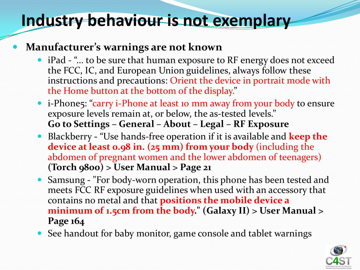### **Industry behaviour is not exemplary**

#### **Manufacturer's warnings are not known**

- iPad "... to be sure that human exposure to RF energy does not exceed the FCC, IC, and European Union guidelines, always follow these instructions and precautions: Orient the device in portrait mode with the Home button at the bottom of the display."
- i-Phone5: "carry i-Phone at least 10 mm away from your body to ensure exposure levels remain at, or below, the as-tested levels." **Go to Settings – General – About – Legal – RF Exposure**
- Blackberry **-** "Use hands-free operation if it is available and **keep the device at least 0.98 in. (25 mm) from your body** (including the abdomen of pregnant women and the lower abdomen of teenagers) **(Torch 9800) > User Manual > Page 21**
- Samsung **-** "For body-worn operation, this phone has been tested and meets FCC RF exposure guidelines when used with an accessory that contains no metal and that **positions the mobile device a minimum of 1.5cm from the body." (Galaxy II) > User Manual > Page 164**
- See handout for baby monitor, game console and tablet warnings

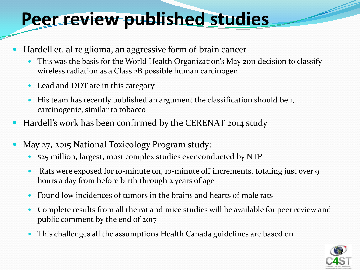# **Peer review published studies**

- Hardell et. al re glioma, an aggressive form of brain cancer
	- This was the basis for the World Health Organization's May 2011 decision to classify wireless radiation as a Class 2B possible human carcinogen
	- Lead and DDT are in this category
	- His team has recently published an argument the classification should be 1, carcinogenic, similar to tobacco
- Hardell's work has been confirmed by the CERENAT 2014 study
- May 27, 2015 National Toxicology Program study:
	- \$25 million, largest, most complex studies ever conducted by NTP
	- Rats were exposed for 10-minute on, 10-minute off increments, totaling just over 9 hours a day from before birth through 2 years of age
	- Found low incidences of tumors in the brains and hearts of male rats
	- Complete results from all the rat and mice studies will be available for peer review and public comment by the end of 2017
	- This challenges all the assumptions Health Canada guidelines are based on

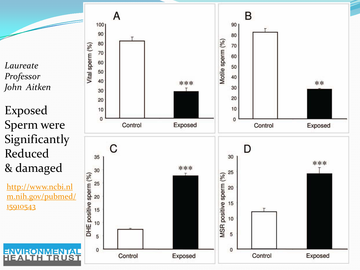*Laureate Professor John Aitken*

Exposed Sperm were Significantly Reduced & damaged

[http://www.ncbi.nl](http://www.ncbi.nlm.nih.gov/pubmed/15910543) [m.nih.gov/pubmed/](http://www.ncbi.nlm.nih.gov/pubmed/15910543) [15910543](http://www.ncbi.nlm.nih.gov/pubmed/15910543)

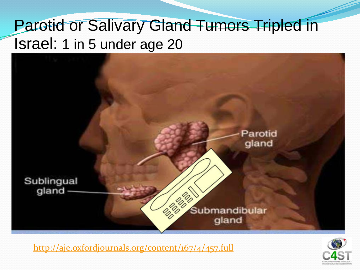### Parotid or Salivary Gland Tumors Tripled in Israel: 1 in 5 under age 20



<http://aje.oxfordjournals.org/content/167/4/457.full>

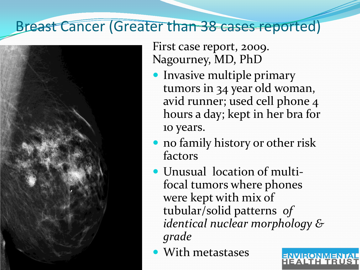### Breast Cancer (Greater than 38 cases reported)



First case report, 2009. Nagourney, MD, PhD

- **Invasive multiple primary** tumors in 34 year old woman, avid runner; used cell phone 4 hours a day; kept in her bra for 10 years.
- no family history or other risk factors
- Unusual location of multifocal tumors where phones were kept with mix of tubular/solid patterns *of identical nuclear morphology & grade*
- With metastases

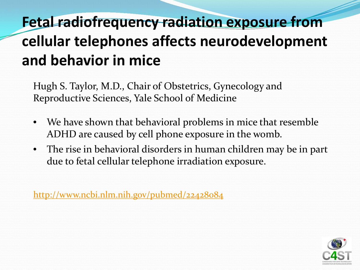## **Fetal radiofrequency radiation exposure from cellular telephones affects neurodevelopment and behavior in mice**

Hugh S. Taylor, M.D., Chair of Obstetrics, Gynecology and Reproductive Sciences, Yale School of Medicine

- We have shown that behavioral problems in mice that resemble ADHD are caused by cell phone exposure in the womb.
- The rise in behavioral disorders in human children may be in part due to fetal cellular telephone irradiation exposure.

<http://www.ncbi.nlm.nih.gov/pubmed/22428084>

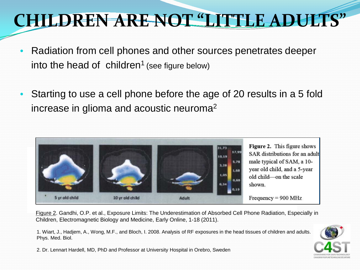# **CHILDREN ARE NOT "LITTLE ADULTS"**

- Radiation from cell phones and other sources penetrates deeper into the head of children<sup>1</sup> (see figure below)
- Starting to use a cell phone before the age of 20 results in a 5 fold increase in glioma and acoustic neuroma2



Figure 2. Gandhi, O.P. et al., Exposure Limits: The Underestimation of Absorbed Cell Phone Radiation, Especially in Children, Electromagnetic Biology and Medicine, Early Online, 1-18 (2011).

1. Wiart, J., Hadjem, A., Wong, M.F., and Bloch, I. 2008. Analysis of RF exposures in the head tissues of children and adults. Phys. Med. Biol.



2. Dr. Lennart Hardell, MD, PhD and Professor at University Hospital in Orebro, Sweden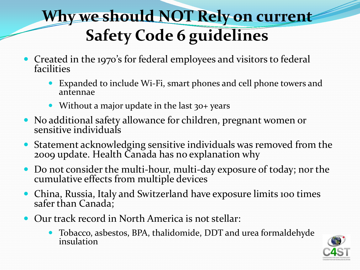# **Why we should NOT Rely on current Safety Code 6 guidelines**

- Created in the 1970's for federal employees and visitors to federal facilities
	- Expanded to include Wi-Fi, smart phones and cell phone towers and antennae
	- Without a major update in the last 30+ years
- No additional safety allowance for children, pregnant women or sensitive individuals
- Statement acknowledging sensitive individuals was removed from the 2009 update. Health Canada has no explanation why
- Do not consider the multi-hour, multi-day exposure of today; nor the cumulative effects from multiple devices
- China, Russia, Italy and Switzerland have exposure limits 100 times safer than Canada;
- Our track record in North America is not stellar:
	- Tobacco, asbestos, BPA, thalidomide, DDT and urea formaldehyde insulation

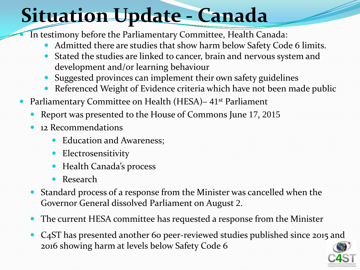# **Situation Update - Canada**

In testimony before the Parliamentary Committee, Health Canada:

- Admitted there are studies that show harm below Safety Code 6 limits.
- Stated the studies are linked to cancer, brain and nervous system and development and/or learning behaviour
- Suggested provinces can implement their own safety guidelines
- Referenced Weight of Evidence criteria which have not been made public
- Parliamentary Committee on Health (HESA) 41<sup>st</sup> Parliament
	- Report was presented to the House of Commons June 17, 2015
	- 12 Recommendations
		- Education and Awareness;
		- Electrosensitivity
		- Health Canada's process
		- Research
	- Standard process of a response from the Minister was cancelled when the Governor General dissolved Parliament on August 2.
	- The current HESA committee has requested a response from the Minister
	- C4ST has presented another 60 peer-reviewed studies published since 2015 and 2016 showing harm at levels below Safety Code 6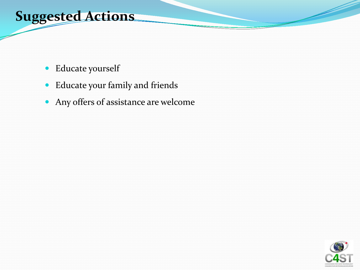### **Suggested Actions**

- Educate yourself
- Educate your family and friends
- Any offers of assistance are welcome

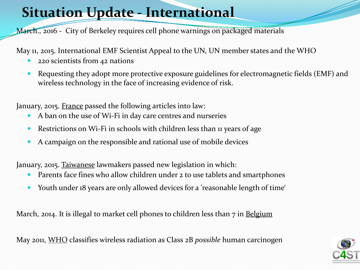### **Situation Update - International**

March., 2016 - City of Berkeley requires cell phone warnings on packaged materials

May 11, 2015. International EMF Scientist Appeal to the UN, UN member states and the WHO

- 220 scientists from 42 nations
- Requesting they adopt more protective exposure guidelines for electromagnetic fields (EMF) and wireless technology in the face of increasing evidence of risk.

January, 2015. France passed the following articles into law:

- A ban on the use of Wi-Fi in day care centres and nurseries
- Restrictions on Wi-Fi in schools with children less than 11 years of age
- A campaign on the responsible and rational use of mobile devices

January, 2015. Taiwanese lawmakers passed new legislation in which:

- Parents face fines who allow children under 2 to use tablets and smartphones
- Youth under 18 years are only allowed devices for a 'reasonable length of time'

March, 2014. It is illegal to market cell phones to children less than 7 in Belgium

May 2011, WHO classifies wireless radiation as Class 2B *possible* human carcinogen